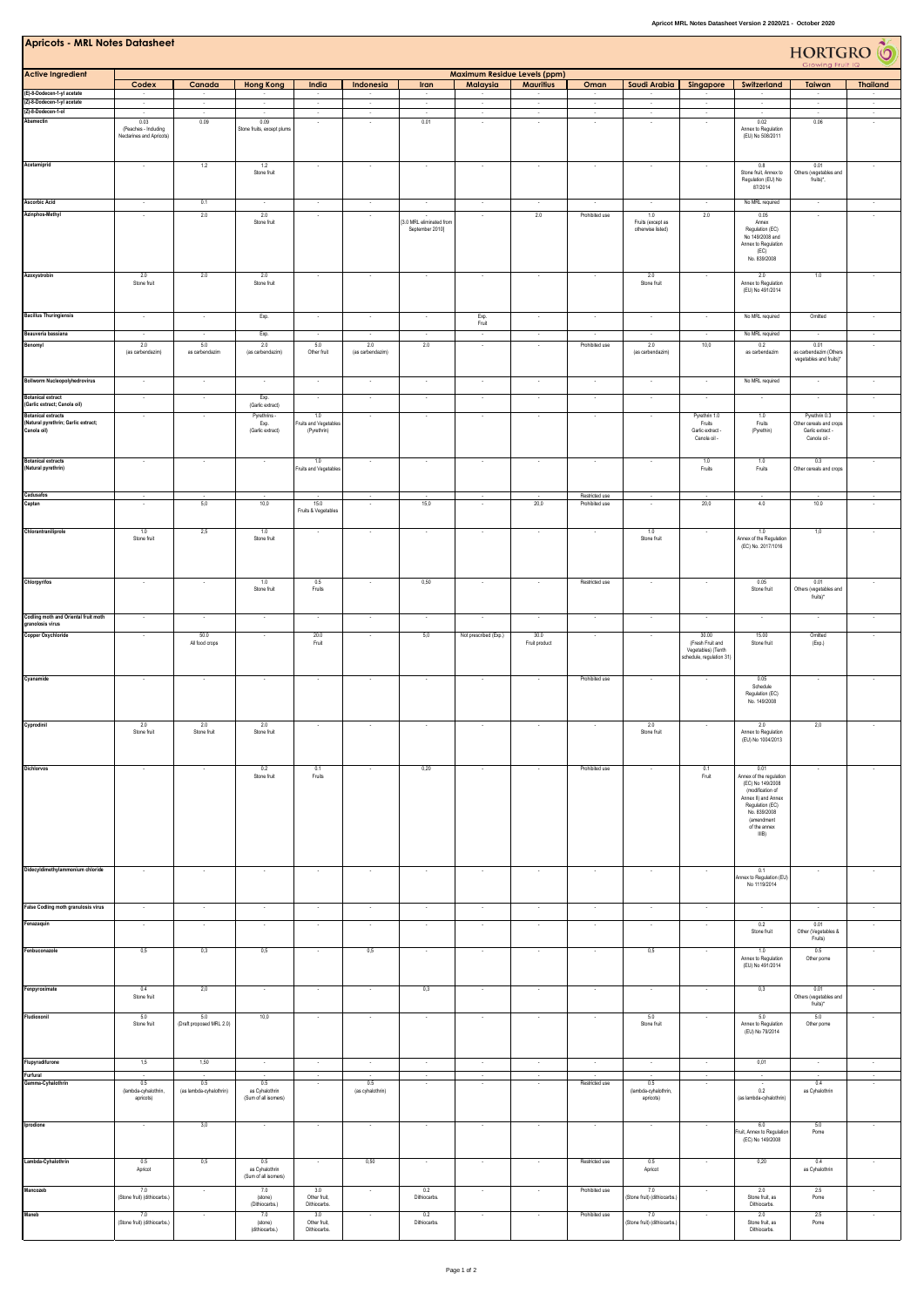| <b>Apricots - MRL Notes Datasheet</b><br>HORTGRO <sup>6</sup>                   |                                                                    |                                    |                                               |                                             |                                    |                                                                         |                          |                          |                                  |                                               |                                                                             |                                                                                                                                                                          |                                                                              |                                    |
|---------------------------------------------------------------------------------|--------------------------------------------------------------------|------------------------------------|-----------------------------------------------|---------------------------------------------|------------------------------------|-------------------------------------------------------------------------|--------------------------|--------------------------|----------------------------------|-----------------------------------------------|-----------------------------------------------------------------------------|--------------------------------------------------------------------------------------------------------------------------------------------------------------------------|------------------------------------------------------------------------------|------------------------------------|
|                                                                                 | <b>Maximum Residue Levels (ppm)</b>                                |                                    |                                               |                                             |                                    |                                                                         |                          |                          |                                  |                                               |                                                                             |                                                                                                                                                                          |                                                                              |                                    |
| <b>Active Ingredient</b>                                                        | Codex                                                              | Canada                             | <b>Hong Kong</b>                              | India                                       | Indonesia                          | <b>Iran</b>                                                             | Malaysia                 | <b>Mauritius</b>         | Oman                             | Saudi Arabia                                  | Singapore                                                                   | Switzerland                                                                                                                                                              | Taiwan                                                                       | <b>Thailand</b>                    |
| (E)-8-Dodecen-1-yl acetate<br>(Z)-8-Dodecen-1-yl acetate                        | $\sim$<br>$\sim$                                                   | $\overline{\phantom{a}}$<br>$\sim$ | $\sim$                                        | $\sim$<br>$\sim$                            | $\overline{\phantom{a}}$<br>$\sim$ | $\sim$<br>$\sim$                                                        | $\sim$<br>$\sim$         | $\sim$<br>$\sim$         | $\sim$<br>$\sim$                 | $\sim$                                        | ٠<br>$\sim$                                                                 | $\sim$<br>$\sim$                                                                                                                                                         | $\sim$<br>$\sim$                                                             | $\sim$<br>$\sim$                   |
| (Z)-8-Dodecen-1-ol<br>Abamectin                                                 | $\sim$<br>0.03<br>(Peaches - Including<br>Nectarines and Apricots) | $\sim$<br>0.09                     | $\sim$<br>0.09<br>Stone fruits, except plums  | $\sim$<br>$\sim$                            | $\sim$<br>$\sim$                   | $\sim$<br>0.01                                                          | $\sim$<br>$\sim$         | $\sim$<br>$\sim$         | $\sim$<br>$\sim$                 | $\sim$<br>$\sim$                              | $\sim$<br>$\overline{\phantom{a}}$                                          | $\sim$<br>0.02<br>Annex to Regulation<br>(EU) No 508/2011                                                                                                                | $\sim$<br>0.06                                                               | $\sim$<br>$\sim$                   |
| Acetamiprid                                                                     | $\sim$                                                             | 1.2                                | 1.2<br>Stone fruit                            |                                             | $\overline{\phantom{a}}$           | $\sim$                                                                  |                          |                          |                                  | $\sim$                                        |                                                                             | 0.8<br>Stone fruit, Annex to<br>Regulation (EU) No<br>87/2014                                                                                                            | 0.01<br>Others (vegetables and<br>fruits)*,                                  |                                    |
| <b>Ascorbic Acid</b><br>Azinphos-Methyl                                         | $\overline{\phantom{a}}$<br>$\sim$                                 | 0.1<br>2.0                         | 2.0<br>Stone fruit                            | $\sim$                                      | $\overline{\phantom{a}}$<br>$\sim$ | $\overline{\phantom{a}}$<br>[3.0 MRL eliminated from<br>September 2010] | $\sim$                   | 2.0                      | Prohibited use                   | 1.0<br>Fruits (except as<br>otherwise listed) | 2.0                                                                         | No MRL required<br>0.05<br>Annex<br>Regulation (EC)<br>No 149/2008 and<br>Annex to Regulation<br>(EC)<br>No. 839/2008                                                    | $\overline{\phantom{a}}$<br>$\sim$                                           | $\overline{\phantom{a}}$<br>$\sim$ |
| Azoxystrobin                                                                    | 2.0<br>Stone fruit                                                 | 2.0                                | 2.0<br>Stone fruit                            |                                             |                                    |                                                                         |                          |                          |                                  | 2.0<br>Stone fruit                            |                                                                             | 2.0<br>Annex to Regulation<br>(EU) No 491/2014                                                                                                                           | 1.0                                                                          |                                    |
| <b>Bacillus Thuringiensis</b>                                                   |                                                                    |                                    | Exp.                                          |                                             |                                    |                                                                         | Exp.<br>Fruit            |                          |                                  |                                               |                                                                             | No MRL required                                                                                                                                                          | Omitted                                                                      |                                    |
| Beauveria bassiana                                                              |                                                                    |                                    | Exp.                                          |                                             |                                    |                                                                         |                          |                          |                                  |                                               |                                                                             | No MRL required                                                                                                                                                          | $\sim$                                                                       |                                    |
| Benomyl                                                                         | 2.0<br>(as carbendazim)                                            | 5.0<br>as carbendazin              | 2.0<br>(as carbendazim)                       | 5.0<br>Other fruit                          | 2.0<br>(as carbendazim)            | 2.0                                                                     | $\sim$                   | $\sim$                   | Prohibited use                   | 2.0<br>(as carbendazim)                       | 10,0                                                                        | 0.2<br>as carbendazim                                                                                                                                                    | 0.01<br>as carbendazim (Others<br>vegetables and fruits)*                    | $\sim$                             |
| <b>Bollworm Nucleopolyhedrovirus</b>                                            |                                                                    |                                    |                                               |                                             |                                    |                                                                         |                          |                          |                                  |                                               |                                                                             | No MRL required                                                                                                                                                          |                                                                              |                                    |
| <b>Botanical extract</b><br>(Garlic extract; Canola oil)                        | $\overline{\phantom{a}}$                                           | $\sim$                             | Exp.<br>(Garlic extract)                      |                                             | $\cdot$                            | $\sim$                                                                  |                          | $\overline{\phantom{a}}$ | $\overline{\phantom{a}}$         | $\cdot$                                       | ÷,                                                                          |                                                                                                                                                                          | $\sim$                                                                       | $\sim$                             |
| <b>Botanical extracts</b><br>(Natural pyrethrin; Garlic extract;<br>Canola oil) |                                                                    |                                    | Pyrethrins<br>Exp.<br>(Garlic extract)        | 1.0<br>Fruits and Vegetables<br>(Pyrethrin) |                                    |                                                                         |                          |                          |                                  |                                               | Pyrethrin 1.0<br>Fruits<br>Garlic extract -<br>Canola oil -                 | 1.0<br>Fruits<br>(Pyrethin)                                                                                                                                              | Pyrethrin 0.3<br>Other cereals and crops<br>Garlic extract -<br>Canola oil - |                                    |
| <b>Botanical extracts</b><br>(Natural pyrethrin)                                | $\overline{\phantom{a}}$                                           | $\overline{\phantom{a}}$           | $\sim$                                        | 1.0<br>Fruits and Vegetables                | $\cdot$                            | $\sim$                                                                  | $\overline{\phantom{a}}$ | $\overline{\phantom{a}}$ | $\overline{\phantom{a}}$         | ٠                                             | 1.0<br>Fruits                                                               | 1.0<br>Fruits                                                                                                                                                            | 0.3<br>Other cereals and crops                                               |                                    |
| Cadusafos<br>Captan                                                             |                                                                    | 5,0                                | 10,0                                          | 15.0<br>Fruits & Vegetables                 | $\ddot{\phantom{1}}$               | 15,0                                                                    |                          | 20,0                     | Restricted use<br>Prohibited use | $\sim$<br>$\sim$                              | 20,0                                                                        | 4.0                                                                                                                                                                      | 10.0                                                                         |                                    |
| Chlorantraniliprole                                                             | 1.0<br>Stone fruit                                                 | 2,5                                | 1.0<br>Stone fruit                            |                                             | ÷.                                 | $\sim$                                                                  |                          |                          |                                  | 1.0<br>Stone fruit                            |                                                                             | 1.0<br>Annex of the Regulation<br>(EC) No. 2017/1016                                                                                                                     | 1,0                                                                          |                                    |
| Chlorpyrifos                                                                    | $\cdot$                                                            |                                    | 1.0<br>Stone fruit                            | 0.5<br>Fruits                               |                                    | 0,50                                                                    | $\sim$                   |                          | Restricted use                   | $\overline{\phantom{a}}$                      |                                                                             | 0.05<br>Stone fruit                                                                                                                                                      | 0.01<br>Others (vegetables and<br>fruits)*                                   |                                    |
| Codling moth and Oriental fruit moth<br>granolosis virus                        | $\sim$                                                             | $\sim$                             | $\sim$                                        | $\sim$                                      | $\sim$                             | $\sim$                                                                  |                          | $\sim$                   |                                  | $\sim$                                        | $\overline{\phantom{a}}$                                                    |                                                                                                                                                                          | $\sim$                                                                       | $\overline{\phantom{a}}$           |
| Copper Oxychloride                                                              | $\cdot$                                                            | 50.0<br>All food crops             | $\overline{\phantom{a}}$                      | 20.0<br>Fruit                               |                                    | 5,0                                                                     | Not prescribed (Exp.)    | 30.0<br>Fruit product    |                                  |                                               | 30.00<br>(Fresh Fruit and<br>Vegetables) (Tenth<br>schedule, regulation 31) | 15.00<br>Stone fruit                                                                                                                                                     | Omitted<br>(Exp.)                                                            |                                    |
| Cyanamide                                                                       |                                                                    |                                    |                                               |                                             |                                    |                                                                         |                          |                          | Prohibited use                   |                                               |                                                                             | 0.05<br>Schedule<br>Regulation (EC)<br>No. 149/2008                                                                                                                      |                                                                              |                                    |
| Cyprodinil                                                                      | 2.0<br>Stone fruit                                                 | 2.0<br>Stone fruit                 | 2.0<br>Stone fruit                            |                                             |                                    |                                                                         |                          |                          |                                  | 2.0<br>Stone fruit                            |                                                                             | 2.0<br>Annex to Regulation<br>(EU) No 1004/2013                                                                                                                          | 2,0                                                                          |                                    |
| Dichlorvos                                                                      | $\sim$                                                             | $\sim$                             | 0.2<br>Stone fruit                            | 0.1<br>Fruits                               | $\sim$                             | 0,20                                                                    | $\sim$                   |                          | Prohibited use                   | $\sim$                                        | 0.1<br>Fruit                                                                | 0.01<br>Annex of the regulation<br>(EC) No 149/2008<br>(modification of<br>Annex II) and Annex<br>Regulation (EC)<br>No. 839/2008<br>(amendment<br>of the annex<br>IIIB) | $\sim$                                                                       | $\sim$                             |
| Didecyldimethylammonium chloride                                                | $\cdot$                                                            |                                    | $\cdot$                                       |                                             | $\cdot$                            | $\overline{\phantom{a}}$                                                |                          |                          |                                  | $\overline{\phantom{a}}$                      | ÷                                                                           | 0.1<br>Annex to Regulation (EU)<br>No 1119/2014                                                                                                                          |                                                                              |                                    |
| False Codling moth granulosis virus                                             |                                                                    |                                    |                                               |                                             |                                    |                                                                         |                          |                          |                                  | ×,                                            |                                                                             |                                                                                                                                                                          |                                                                              |                                    |
| Fenazaquin                                                                      | $\overline{\phantom{a}}$                                           | $\cdot$                            | $\cdot$                                       | $\sim$                                      | $\cdot$                            | $\cdot$                                                                 | $\sim$                   | $\cdot$                  | $\sim$                           | $\cdot$                                       | $\cdot$                                                                     | 0.2<br>Stone fruit                                                                                                                                                       | 0.01<br>Other (Vegetables &<br>Fruits)                                       | $\cdot$                            |
| Fenbuconazole                                                                   | 0,5                                                                | 0,3                                | 0,5                                           | $\sim$                                      | 0,5                                | $\sim$                                                                  | $\sim$                   | $\sim$                   | $\sim$                           | 0,5                                           | $\sim$                                                                      | 1.0<br>Annex to Regulation<br>(EU) No 491/2014                                                                                                                           | 0.5<br>Other pome                                                            | $\sim$                             |
| Fenpyroximate                                                                   | 0.4<br>Stone fruit                                                 | 2,0                                | $\cdot$                                       | $\sim$                                      | $\sim$                             | 0,3                                                                     | $\sim$                   | $\cdot$                  | $\sim$                           | $\cdot$                                       | $\cdot$                                                                     | 0,3                                                                                                                                                                      | 0.01<br>Others (vegetables and<br>fruits)*                                   | $\cdot$                            |
| Fludioxonil                                                                     | 5.0<br>Stone fruit                                                 | 5.0<br>(Draft proposed MRL 2.0)    | 10,0                                          |                                             |                                    |                                                                         |                          |                          |                                  | 5.0<br>Stone fruit                            |                                                                             | 5.0<br>Annex to Regulation<br>(EU) No 79/2014                                                                                                                            | 5.0<br>Other pome                                                            |                                    |
| Flupyradifurone                                                                 | 1,5                                                                | 1,50                               | $\sim$                                        | $\sim$                                      | $\sim$                             | $\sim$                                                                  | $\sim$                   | $\sim$                   | $\sim$                           | $\sim$                                        | $\sim$                                                                      | 0,01                                                                                                                                                                     | $\sim$                                                                       | $\sim$                             |
| Furfural<br>Gamma-Cyhalothrin                                                   | 0.5<br>(lambda-cyhalothrin,<br>apricots)                           | 0.5<br>(as lambda-cyhalothrin)     | 0.5<br>as Cyhalothrin<br>(Sum of all isomers) | $\sim$                                      | 0.5<br>(as cyhalothrin)            |                                                                         |                          | $\sim$                   | Restricted use                   | $0.5\,$<br>(lambda-cyhalothrin,<br>apricots)  | $\cdot$                                                                     | 0.2<br>(as lambda-cyhalothrin)                                                                                                                                           | $\cdot$<br>0.4<br>as Cyhalothrin                                             | $\cdot$                            |
| Iprodione                                                                       | $\sim$                                                             | 3,0                                | $\sim$                                        |                                             | $\sim$                             | $\sim$                                                                  | $\sim$                   | $\sim$                   | $\sim$                           | $\sim$                                        | ٠                                                                           | 6.0<br>Fruit, Annex to Regulation<br>(EC) No 149/2008                                                                                                                    | 5.0<br>Pome                                                                  | $\sim$                             |
| Lambda-Cyhalothrin                                                              | 0.5<br>Apricot                                                     | 0,5                                | 0.5<br>as Cyhalothrin<br>(Sum of all isomers) |                                             | 0,50                               | $\cdot$                                                                 | $\sim$                   | $\overline{\phantom{a}}$ | Restricted use                   | 0.5<br>Apricot                                |                                                                             | 0,20                                                                                                                                                                     | 0.4<br>as Cyhalothrin                                                        |                                    |
| Mancozeb<br>Maneb                                                               | 7.0<br>(Stone fruit) (dithiocarbs.)<br>7.0                         | $\sim$                             | 7.0<br>(stone)<br>(Dithiocarbs.)<br>7.0       | 3.0<br>Other fruit,<br>Dithiocarbs.<br>3.0  | $\cdot$                            | 0.2<br>Dithiocarbs.<br>0.2                                              | $\sim$                   | $\sim$                   | Prohibited use<br>Prohibited use | 7.0<br>(Stone fruit) (dithiocarbs.)<br>7.0    | $\sim$                                                                      | 2.0<br>Stone fruit, as<br>Dithiocarbs.<br>2.0                                                                                                                            | 2.5<br>Pome<br>2.5                                                           | $\sim$                             |
|                                                                                 | (Stone fruit) (dithiocarbs.)                                       |                                    | (stone)<br>(dithiocarbs.)                     | Other fruit,<br>Dithiocarbs.                |                                    | Dithiocarbs.                                                            |                          |                          |                                  | (Stone fruit) (dithiocarbs.)                  |                                                                             | Stone fruit, as<br>Dithiocarbs.                                                                                                                                          | Pome                                                                         |                                    |